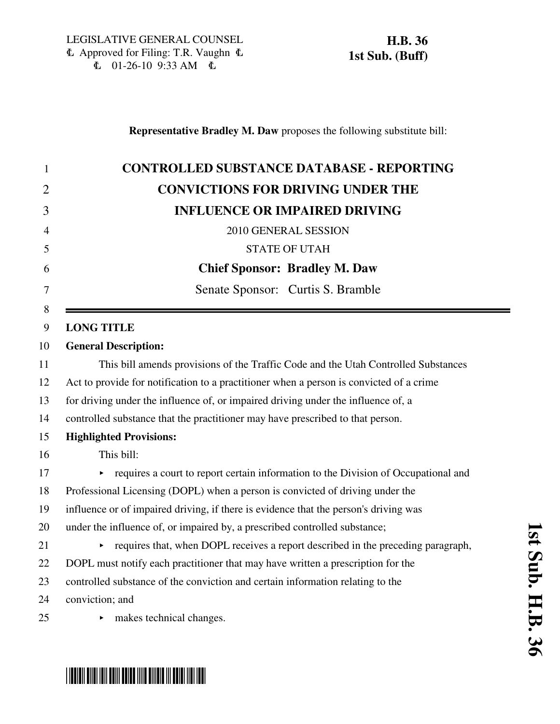| 1              | <b>CONTROLLED SUBSTANCE DATABASE - REPORTING</b>                                        |
|----------------|-----------------------------------------------------------------------------------------|
| $\overline{2}$ | <b>CONVICTIONS FOR DRIVING UNDER THE</b>                                                |
| 3              | <b>INFLUENCE OR IMPAIRED DRIVING</b>                                                    |
| $\overline{4}$ | 2010 GENERAL SESSION                                                                    |
| 5              | <b>STATE OF UTAH</b>                                                                    |
| 6              | <b>Chief Sponsor: Bradley M. Daw</b>                                                    |
| 7              | Senate Sponsor: Curtis S. Bramble                                                       |
| 8              |                                                                                         |
| 9              | <b>LONG TITLE</b>                                                                       |
| 10             | <b>General Description:</b>                                                             |
| 11             | This bill amends provisions of the Traffic Code and the Utah Controlled Substances      |
| 12             | Act to provide for notification to a practitioner when a person is convicted of a crime |
| 13             | for driving under the influence of, or impaired driving under the influence of, a       |
| 14             | controlled substance that the practitioner may have prescribed to that person.          |
| 15             | <b>Highlighted Provisions:</b>                                                          |
| 16             | This bill:                                                                              |
| 17             | requires a court to report certain information to the Division of Occupational and      |
| 18             | Professional Licensing (DOPL) when a person is convicted of driving under the           |
| 19             | influence or of impaired driving, if there is evidence that the person's driving was    |
| 20             | under the influence of, or impaired by, a prescribed controlled substance;              |
| 21             | requires that, when DOPL receives a report described in the preceding paragraph,        |
| 22             | DOPL must notify each practitioner that may have written a prescription for the         |
| 23             | controlled substance of the conviction and certain information relating to the          |
| 24             | conviction; and                                                                         |
| 25             | makes technical changes.                                                                |
|                |                                                                                         |

# \*HB0036S01\*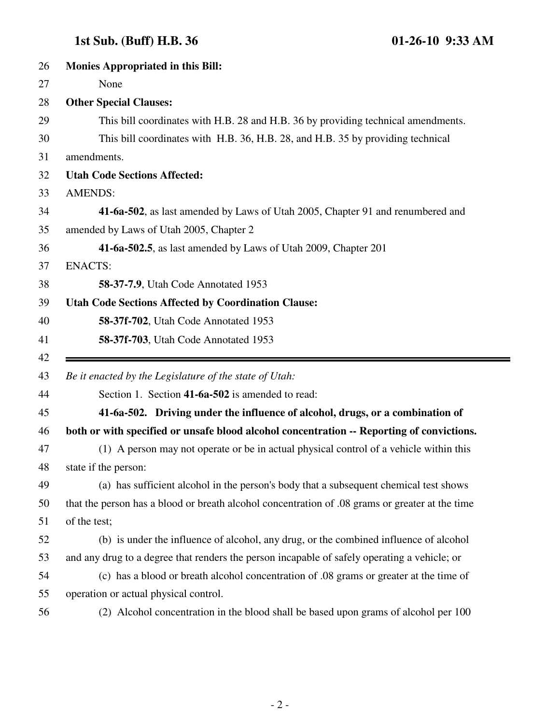## **1st Sub. (Buff) H.B. 36 01-26-10 9:33 AM**

Ξ.

| 26 | <b>Monies Appropriated in this Bill:</b>                                                        |
|----|-------------------------------------------------------------------------------------------------|
| 27 | None                                                                                            |
| 28 | <b>Other Special Clauses:</b>                                                                   |
| 29 | This bill coordinates with H.B. 28 and H.B. 36 by providing technical amendments.               |
| 30 | This bill coordinates with H.B. 36, H.B. 28, and H.B. 35 by providing technical                 |
| 31 | amendments.                                                                                     |
| 32 | <b>Utah Code Sections Affected:</b>                                                             |
| 33 | <b>AMENDS:</b>                                                                                  |
| 34 | 41-6a-502, as last amended by Laws of Utah 2005, Chapter 91 and renumbered and                  |
| 35 | amended by Laws of Utah 2005, Chapter 2                                                         |
| 36 | 41-6a-502.5, as last amended by Laws of Utah 2009, Chapter 201                                  |
| 37 | <b>ENACTS:</b>                                                                                  |
| 38 | <b>58-37-7.9, Utah Code Annotated 1953</b>                                                      |
| 39 | <b>Utah Code Sections Affected by Coordination Clause:</b>                                      |
| 40 | 58-37f-702, Utah Code Annotated 1953                                                            |
| 41 | 58-37f-703, Utah Code Annotated 1953                                                            |
| 42 |                                                                                                 |
|    |                                                                                                 |
| 43 | Be it enacted by the Legislature of the state of Utah:                                          |
| 44 | Section 1. Section 41-6a-502 is amended to read:                                                |
| 45 | 41-6a-502. Driving under the influence of alcohol, drugs, or a combination of                   |
| 46 | both or with specified or unsafe blood alcohol concentration -- Reporting of convictions.       |
| 47 | (1) A person may not operate or be in actual physical control of a vehicle within this          |
| 48 | state if the person:                                                                            |
| 49 | (a) has sufficient alcohol in the person's body that a subsequent chemical test shows           |
| 50 | that the person has a blood or breath alcohol concentration of 0.8 grams or greater at the time |
| 51 | of the test;                                                                                    |
| 52 | (b) is under the influence of alcohol, any drug, or the combined influence of alcohol           |
| 53 | and any drug to a degree that renders the person incapable of safely operating a vehicle; or    |
| 54 | (c) has a blood or breath alcohol concentration of .08 grams or greater at the time of          |
| 55 | operation or actual physical control.                                                           |
| 56 | (2) Alcohol concentration in the blood shall be based upon grams of alcohol per 100             |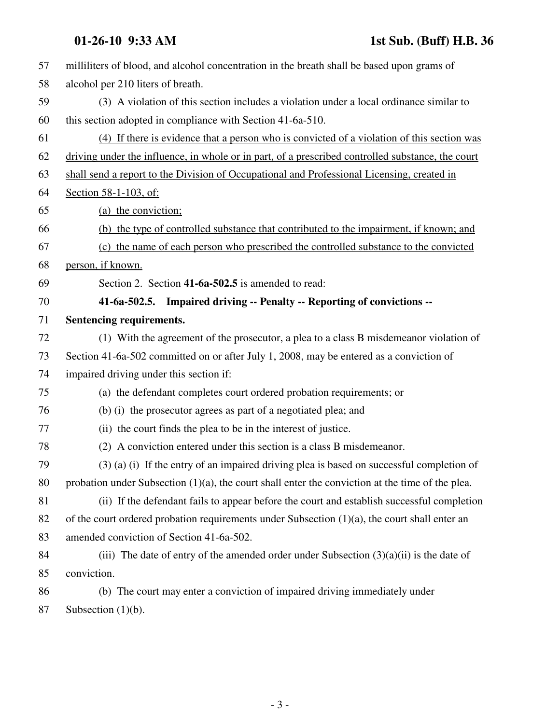| 57 | milliliters of blood, and alcohol concentration in the breath shall be based upon grams of          |
|----|-----------------------------------------------------------------------------------------------------|
| 58 | alcohol per 210 liters of breath.                                                                   |
| 59 | (3) A violation of this section includes a violation under a local ordinance similar to             |
| 60 | this section adopted in compliance with Section 41-6a-510.                                          |
| 61 | (4) If there is evidence that a person who is convicted of a violation of this section was          |
| 62 | driving under the influence, in whole or in part, of a prescribed controlled substance, the court   |
| 63 | shall send a report to the Division of Occupational and Professional Licensing, created in          |
| 64 | Section 58-1-103, of:                                                                               |
| 65 | (a) the conviction;                                                                                 |
| 66 | (b) the type of controlled substance that contributed to the impairment, if known; and              |
| 67 | (c) the name of each person who prescribed the controlled substance to the convicted                |
| 68 | person, if known.                                                                                   |
| 69 | Section 2. Section 41-6a-502.5 is amended to read:                                                  |
| 70 | 41-6a-502.5. Impaired driving -- Penalty -- Reporting of convictions --                             |
| 71 | Sentencing requirements.                                                                            |
| 72 | (1) With the agreement of the prosecutor, a plea to a class B misdemeanor violation of              |
| 73 | Section 41-6a-502 committed on or after July 1, 2008, may be entered as a conviction of             |
| 74 | impaired driving under this section if:                                                             |
| 75 | (a) the defendant completes court ordered probation requirements; or                                |
| 76 | (b) (i) the prosecutor agrees as part of a negotiated plea; and                                     |
| 77 | (ii) the court finds the plea to be in the interest of justice.                                     |
| 78 | (2) A conviction entered under this section is a class B misdemeanor.                               |
| 79 | $(3)$ (a) (i) If the entry of an impaired driving plea is based on successful completion of         |
| 80 | probation under Subsection $(1)(a)$ , the court shall enter the conviction at the time of the plea. |
| 81 | (ii) If the defendant fails to appear before the court and establish successful completion          |
| 82 | of the court ordered probation requirements under Subsection $(1)(a)$ , the court shall enter an    |
| 83 | amended conviction of Section 41-6a-502.                                                            |
| 84 | (iii) The date of entry of the amended order under Subsection $(3)(a)(ii)$ is the date of           |
| 85 | conviction.                                                                                         |
| 86 | (b) The court may enter a conviction of impaired driving immediately under                          |
| 87 | Subsection $(1)(b)$ .                                                                               |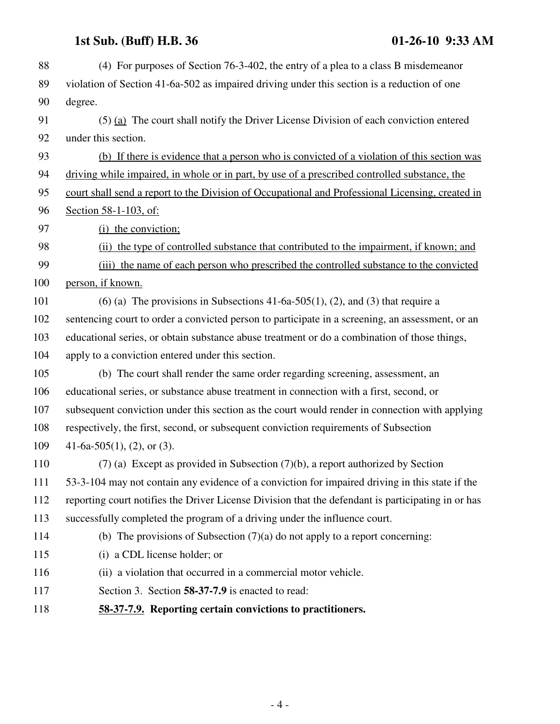## **1st Sub. (Buff) H.B. 36 01-26-10 9:33 AM**

| 88  | (4) For purposes of Section 76-3-402, the entry of a plea to a class B misdemeanor                 |
|-----|----------------------------------------------------------------------------------------------------|
| 89  | violation of Section 41-6a-502 as impaired driving under this section is a reduction of one        |
| 90  | degree.                                                                                            |
| 91  | $(5)$ (a) The court shall notify the Driver License Division of each conviction entered            |
| 92  | under this section.                                                                                |
| 93  | (b) If there is evidence that a person who is convicted of a violation of this section was         |
| 94  | driving while impaired, in whole or in part, by use of a prescribed controlled substance, the      |
| 95  | court shall send a report to the Division of Occupational and Professional Licensing, created in   |
| 96  | Section 58-1-103, of:                                                                              |
| 97  | (i) the conviction;                                                                                |
| 98  | (ii) the type of controlled substance that contributed to the impairment, if known; and            |
| 99  | (iii) the name of each person who prescribed the controlled substance to the convicted             |
| 100 | person, if known.                                                                                  |
| 101 | (6) (a) The provisions in Subsections 41-6a-505(1), (2), and (3) that require a                    |
| 102 | sentencing court to order a convicted person to participate in a screening, an assessment, or an   |
| 103 | educational series, or obtain substance abuse treatment or do a combination of those things,       |
| 104 | apply to a conviction entered under this section.                                                  |
| 105 | (b) The court shall render the same order regarding screening, assessment, an                      |
| 106 | educational series, or substance abuse treatment in connection with a first, second, or            |
| 107 | subsequent conviction under this section as the court would render in connection with applying     |
| 108 | respectively, the first, second, or subsequent conviction requirements of Subsection               |
| 109 | 41-6a-505(1), (2), or (3).                                                                         |
| 110 | $(7)$ (a) Except as provided in Subsection $(7)(b)$ , a report authorized by Section               |
| 111 | 53-3-104 may not contain any evidence of a conviction for impaired driving in this state if the    |
| 112 | reporting court notifies the Driver License Division that the defendant is participating in or has |
| 113 | successfully completed the program of a driving under the influence court.                         |
| 114 | (b) The provisions of Subsection $(7)(a)$ do not apply to a report concerning:                     |
| 115 | (i) a CDL license holder; or                                                                       |
| 116 | (ii) a violation that occurred in a commercial motor vehicle.                                      |
| 117 | Section 3. Section 58-37-7.9 is enacted to read:                                                   |
| 118 | 58-37-7.9. Reporting certain convictions to practitioners.                                         |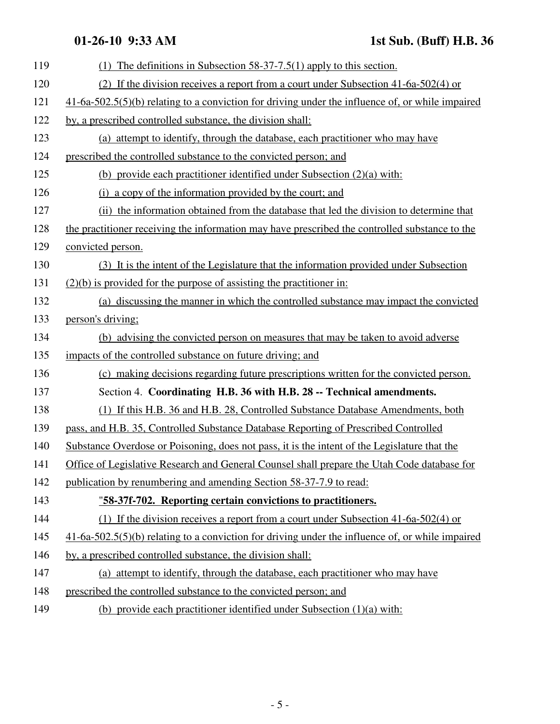| 119 | (1) The definitions in Subsection $58-37-7.5(1)$ apply to this section.                            |
|-----|----------------------------------------------------------------------------------------------------|
| 120 | (2) If the division receives a report from a court under Subsection $41-6a-502(4)$ or              |
| 121 | $41-6a-502.5(5)(b)$ relating to a conviction for driving under the influence of, or while impaired |
| 122 | by, a prescribed controlled substance, the division shall:                                         |
| 123 | (a) attempt to identify, through the database, each practitioner who may have                      |
| 124 | prescribed the controlled substance to the convicted person; and                                   |
| 125 | (b) provide each practitioner identified under Subsection $(2)(a)$ with:                           |
| 126 | (i) a copy of the information provided by the court; and                                           |
| 127 | (ii) the information obtained from the database that led the division to determine that            |
| 128 | the practitioner receiving the information may have prescribed the controlled substance to the     |
| 129 | convicted person.                                                                                  |
| 130 | (3) It is the intent of the Legislature that the information provided under Subsection             |
| 131 | $(2)(b)$ is provided for the purpose of assisting the practitioner in:                             |
| 132 | (a) discussing the manner in which the controlled substance may impact the convicted               |
| 133 | person's driving;                                                                                  |
| 134 | (b) advising the convicted person on measures that may be taken to avoid adverse                   |
| 135 | impacts of the controlled substance on future driving; and                                         |
| 136 | (c) making decisions regarding future prescriptions written for the convicted person.              |
| 137 | Section 4. Coordinating H.B. 36 with H.B. 28 -- Technical amendments.                              |
| 138 | (1) If this H.B. 36 and H.B. 28, Controlled Substance Database Amendments, both                    |
| 139 | pass, and H.B. 35, Controlled Substance Database Reporting of Prescribed Controlled                |
| 140 | Substance Overdose or Poisoning, does not pass, it is the intent of the Legislature that the       |
| 141 | Office of Legislative Research and General Counsel shall prepare the Utah Code database for        |
| 142 | publication by renumbering and amending Section 58-37-7.9 to read:                                 |
| 143 | "58-37f-702. Reporting certain convictions to practitioners.                                       |
| 144 | (1) If the division receives a report from a court under Subsection $41-6a-502(4)$ or              |
| 145 | $41-6a-502.5(5)(b)$ relating to a conviction for driving under the influence of, or while impaired |
| 146 | by, a prescribed controlled substance, the division shall:                                         |
| 147 | (a) attempt to identify, through the database, each practitioner who may have                      |
| 148 | prescribed the controlled substance to the convicted person; and                                   |

149 (b) provide each practitioner identified under Subsection (1)(a) with: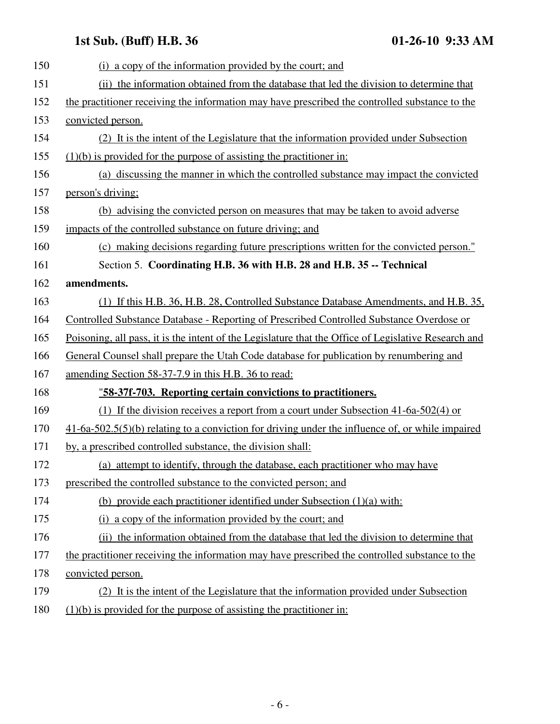## **1st Sub. (Buff) H.B. 36 01-26-10 9:33 AM**

| 150 | (i) a copy of the information provided by the court; and                                             |
|-----|------------------------------------------------------------------------------------------------------|
| 151 | (ii) the information obtained from the database that led the division to determine that              |
| 152 | the practitioner receiving the information may have prescribed the controlled substance to the       |
| 153 | convicted person.                                                                                    |
| 154 | (2) It is the intent of the Legislature that the information provided under Subsection               |
| 155 | $(1)(b)$ is provided for the purpose of assisting the practitioner in:                               |
| 156 | (a) discussing the manner in which the controlled substance may impact the convicted                 |
| 157 | person's driving;                                                                                    |
| 158 | (b) advising the convicted person on measures that may be taken to avoid adverse                     |
| 159 | impacts of the controlled substance on future driving; and                                           |
| 160 | (c) making decisions regarding future prescriptions written for the convicted person."               |
| 161 | Section 5. Coordinating H.B. 36 with H.B. 28 and H.B. 35 -- Technical                                |
| 162 | amendments.                                                                                          |
| 163 | (1) If this H.B. 36, H.B. 28, Controlled Substance Database Amendments, and H.B. 35,                 |
| 164 | Controlled Substance Database - Reporting of Prescribed Controlled Substance Overdose or             |
| 165 | Poisoning, all pass, it is the intent of the Legislature that the Office of Legislative Research and |
| 166 | General Counsel shall prepare the Utah Code database for publication by renumbering and              |
| 167 | amending Section 58-37-7.9 in this H.B. 36 to read:                                                  |
| 168 | "58-37f-703. Reporting certain convictions to practitioners.                                         |
| 169 | (1) If the division receives a report from a court under Subsection 41-6a-502(4) or                  |
| 170 | $41-6a-502.5(5)(b)$ relating to a conviction for driving under the influence of, or while impaired   |
| 171 | by, a prescribed controlled substance, the division shall:                                           |
| 172 | (a) attempt to identify, through the database, each practitioner who may have                        |
| 173 | prescribed the controlled substance to the convicted person; and                                     |
| 174 | (b) provide each practitioner identified under Subsection $(1)(a)$ with:                             |
| 175 | (i) a copy of the information provided by the court; and                                             |
| 176 | (ii) the information obtained from the database that led the division to determine that              |
| 177 | the practitioner receiving the information may have prescribed the controlled substance to the       |
| 178 | convicted person.                                                                                    |
| 179 | (2) It is the intent of the Legislature that the information provided under Subsection               |
| 180 | $(1)(b)$ is provided for the purpose of assisting the practitioner in:                               |